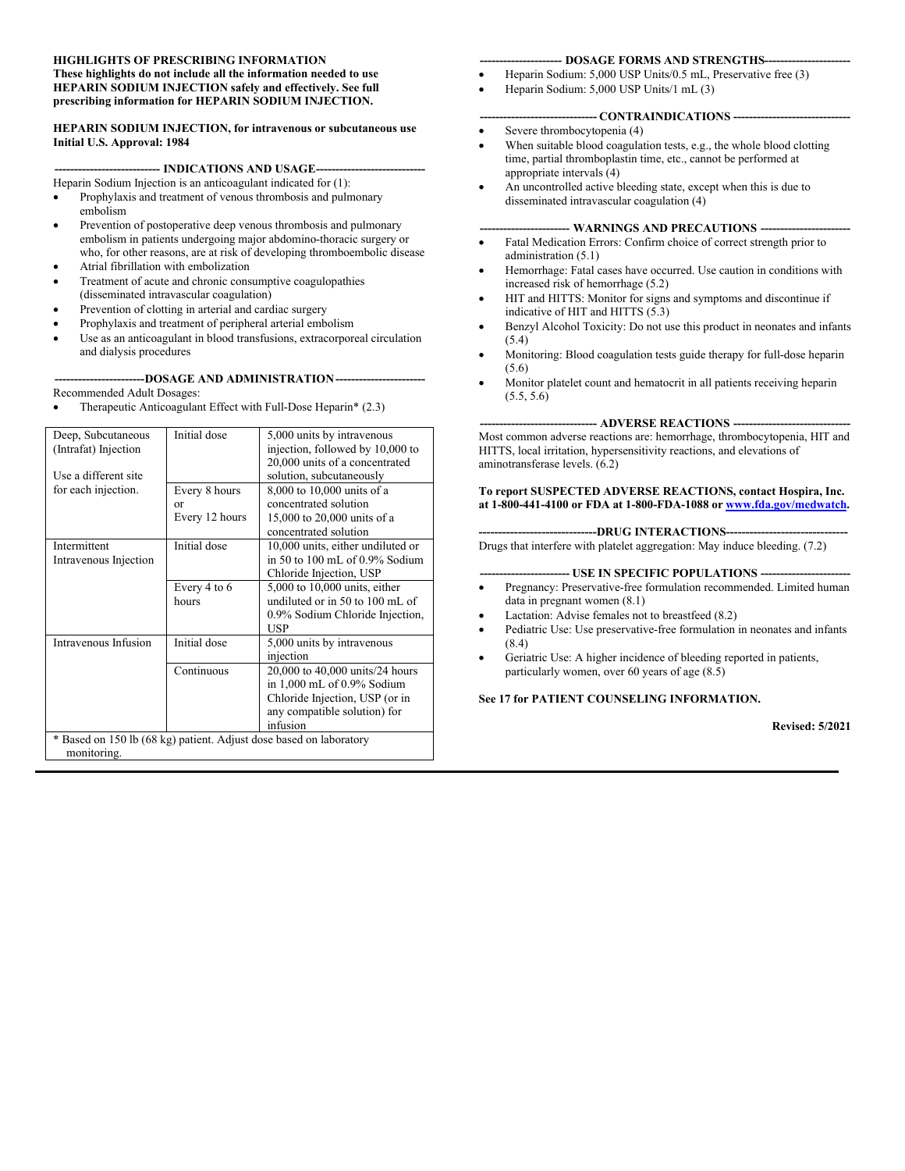#### **HIGHLIGHTS OF PRESCRIBING INFORMATION These highlights do not include all the information needed to use HEPARIN SODIUM INJECTION safely and effectively. See full prescribing information for HEPARIN SODIUM INJECTION.**

**HEPARIN SODIUM INJECTION, for intravenous or subcutaneous use Initial U.S. Approval: 1984**

--- **INDICATIONS AND USAGE---**

- Heparin Sodium Injection is an anticoagulant indicated for (1):
- Prophylaxis and treatment of venous thrombosis and pulmonary embolism
- Prevention of postoperative deep venous thrombosis and pulmonary embolism in patients undergoing major abdomino-thoracic surgery or who, for other reasons, are at risk of developing thromboembolic disease
- Atrial fibrillation with embolization
- Treatment of acute and chronic consumptive coagulopathies (disseminated intravascular coagulation)
- Prevention of clotting in arterial and cardiac surgery
- Prophylaxis and treatment of peripheral arterial embolism
- Use as an anticoagulant in blood transfusions, extracorporeal circulation and dialysis procedures

### **-----------------------DOSAGE AND ADMINISTRATION-----------------------**

Recommended Adult Dosages:

Therapeutic Anticoagulant Effect with Full-Dose Heparin\* (2.3)

| Deep, Subcutaneous                                                 | Initial dose   | 5,000 units by intravenous                |  |
|--------------------------------------------------------------------|----------------|-------------------------------------------|--|
| (Intrafat) Injection                                               |                | injection, followed by 10,000 to          |  |
|                                                                    |                | 20,000 units of a concentrated            |  |
| Use a different site                                               |                | solution, subcutaneously                  |  |
| for each injection.                                                | Every 8 hours  | 8,000 to 10,000 units of a                |  |
|                                                                    | or             | concentrated solution                     |  |
|                                                                    | Every 12 hours | 15,000 to 20,000 units of a               |  |
|                                                                    |                | concentrated solution                     |  |
| Intermittent                                                       | Initial dose   | 10,000 units, either undiluted or         |  |
| Intravenous Injection                                              |                | in 50 to 100 mL of 0.9% Sodium            |  |
|                                                                    |                | Chloride Injection, USP                   |  |
|                                                                    | Every 4 to 6   | $5,000$ to $10,000$ units, either         |  |
|                                                                    | hours          | undiluted or in 50 to $100 \text{ mL of}$ |  |
|                                                                    |                | 0.9% Sodium Chloride Injection,           |  |
|                                                                    |                | USP                                       |  |
| Intravenous Infusion                                               | Initial dose   | 5,000 units by intravenous                |  |
|                                                                    |                | injection                                 |  |
|                                                                    | Continuous     | 20,000 to 40,000 units/24 hours           |  |
|                                                                    |                | in $1,000$ mL of $0.9\%$ Sodium           |  |
|                                                                    |                | Chloride Injection, USP (or in            |  |
|                                                                    |                | any compatible solution) for              |  |
|                                                                    |                | infusion                                  |  |
| * Based on 150 lb (68 kg) patient. Adjust dose based on laboratory |                |                                           |  |
| monitoring.                                                        |                |                                           |  |

#### **--------------------- DOSAGE FORMS AND STRENGTHS----------------------**

- Heparin Sodium: 5,000 USP Units/0.5 mL, Preservative free (3)
- Heparin Sodium: 5,000 USP Units/1 mL (3)

#### **------------------------------ CONTRAINDICATIONS ------------------------------**

- Severe thrombocytopenia (4)
- When suitable blood coagulation tests, e.g., the whole blood clotting time, partial thromboplastin time, etc., cannot be performed at appropriate intervals (4)
- An uncontrolled active bleeding state, except when this is due to disseminated intravascular coagulation (4)

#### **----------------------- WARNINGS AND PRECAUTIONS -----------------------**

- Fatal Medication Errors: Confirm choice of correct strength prior to administration (5.1)
- Hemorrhage: Fatal cases have occurred. Use caution in conditions with increased risk of hemorrhage (5.2)
- HIT and HITTS: Monitor for signs and symptoms and discontinue if indicative of HIT and HITTS (5.3)
- Benzyl Alcohol Toxicity: Do not use this product in neonates and infants  $(5.4)$
- Monitoring: Blood coagulation tests guide therapy for full-dose heparin (5.6)
- Monitor platelet count and hematocrit in all patients receiving heparin  $(5.5, 5.6)$

#### **------------------------------ ADVERSE REACTIONS ------------------------------**

Most common adverse reactions are: hemorrhage, thrombocytopenia, HIT and HITTS, local irritation, hypersensitivity reactions, and elevations of aminotransferase levels. (6.2)

#### **To report SUSPECTED ADVERSE REACTIONS, contact Hospira, Inc. at 1-800-441-4100 or FDA at 1-800-FDA-1088 or [www.fda.gov/medwatch](http://www.fda.gov/medwatch).**

### ----DRUG INTERACTIONS----

Drugs that interfere with platelet aggregation: May induce bleeding. (7.2)

#### **----------------------- USE IN SPECIFIC POPULATIONS -----------------------**

- Pregnancy: Preservative-free formulation recommended. Limited human data in pregnant women (8.1)
- Lactation: Advise females not to breastfeed (8.2)
- Pediatric Use: Use preservative-free formulation in neonates and infants (8.4)
- Geriatric Use: A higher incidence of bleeding reported in patients, particularly women, over 60 years of age (8.5)

#### **See 17 for PATIENT COUNSELING INFORMATION.**

**Revised: 5/2021**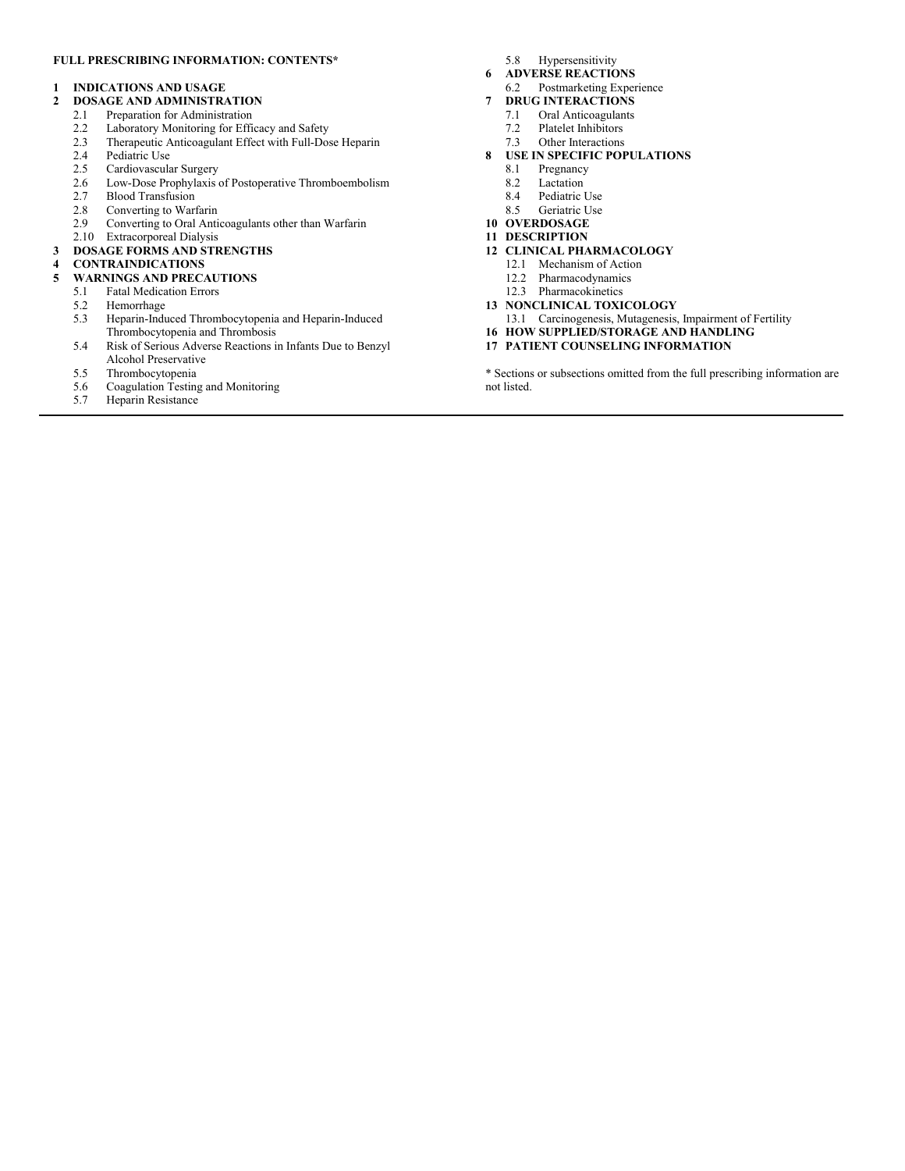### **FULL PRESCRIBING INFORMATION: CONTENTS\***

#### **1 INDICATIONS AND USAGE**

- **2 DOSAGE AND ADMINISTRATION**
	- 2.1 Preparation for Administration<br>2.2 Laboratory Monitoring for Effi
		- Laboratory Monitoring for Efficacy and Safety
	- 2.3 Therapeutic Anticoagulant Effect with Full-Dose Heparin
	- 2.4 Pediatric Use<br>2.5 Cardiovascula
	- Cardiovascular Surgery
	- 2.6 Low-Dose Prophylaxis of Postoperative Thromboembolism<br>2.7 Blood Transfusion
	- 2.7 Blood Transfusion
	- 2.8 Converting to Warfarin<br>2.9 Converting to Oral Anti
	- 2.9 Converting to Oral Anticoagulants other than Warfarin
	- 2.10 Extracorporeal Dialysis
- **3 DOSAGE FORMS AND STRENGTHS**

# **4 CONTRAINDICATIONS**

- **5 WARNINGS AND PRECAUTIONS**
	- 5.1 Fatal Medication Errors
	- 5.2 Hemorrhage
	- 5.3 Heparin-Induced Thrombocytopenia and Heparin-Induced Thrombocytopenia and Thrombosis
	- 5.4 Risk of Serious Adverse Reactions in Infants Due to Benzyl Alcohol Preservative
	- 5.5 Thrombocytopenia<br>5.6 Coagulation Testing
	- 5.6 Coagulation Testing and Monitoring
	- 5.7 Heparin Resistance
- 5.8 Hypersensitivity
- **6 ADVERSE REACTIONS** 6.2 Postmarketing Experience
- **7 DRUG INTERACTIONS**
- - 7.1 Oral Anticoagulants<br>7.2 Platelet Inhibitors Platelet Inhibitors
	- 7.3 Other Interactions
- **8 USE IN SPECIFIC POPULATIONS**<br>8.1 **Pregnancy** 
	- Pregnancy
	- 8.2 Lactation<br>8.4 Pediatric U
	- Pediatric Use
	- 8.5 Geriatric Use
- **10 OVERDOSAGE**
- **11 DESCRIPTION**
- **12 CLINICAL PHARMACOLOGY**
	- 12.1 Mechanism of Action
	- 12.2 Pharmacodynamics
	- 12.3 Pharmacokinetics
- **13 NONCLINICAL TOXICOLOGY**
- 13.1 Carcinogenesis, Mutagenesis, Impairment of Fertility
- **16 HOW SUPPLIED/STORAGE AND HANDLING**
- **17 PATIENT COUNSELING INFORMATION**

\* Sections or subsections omitted from the full prescribing information are not listed.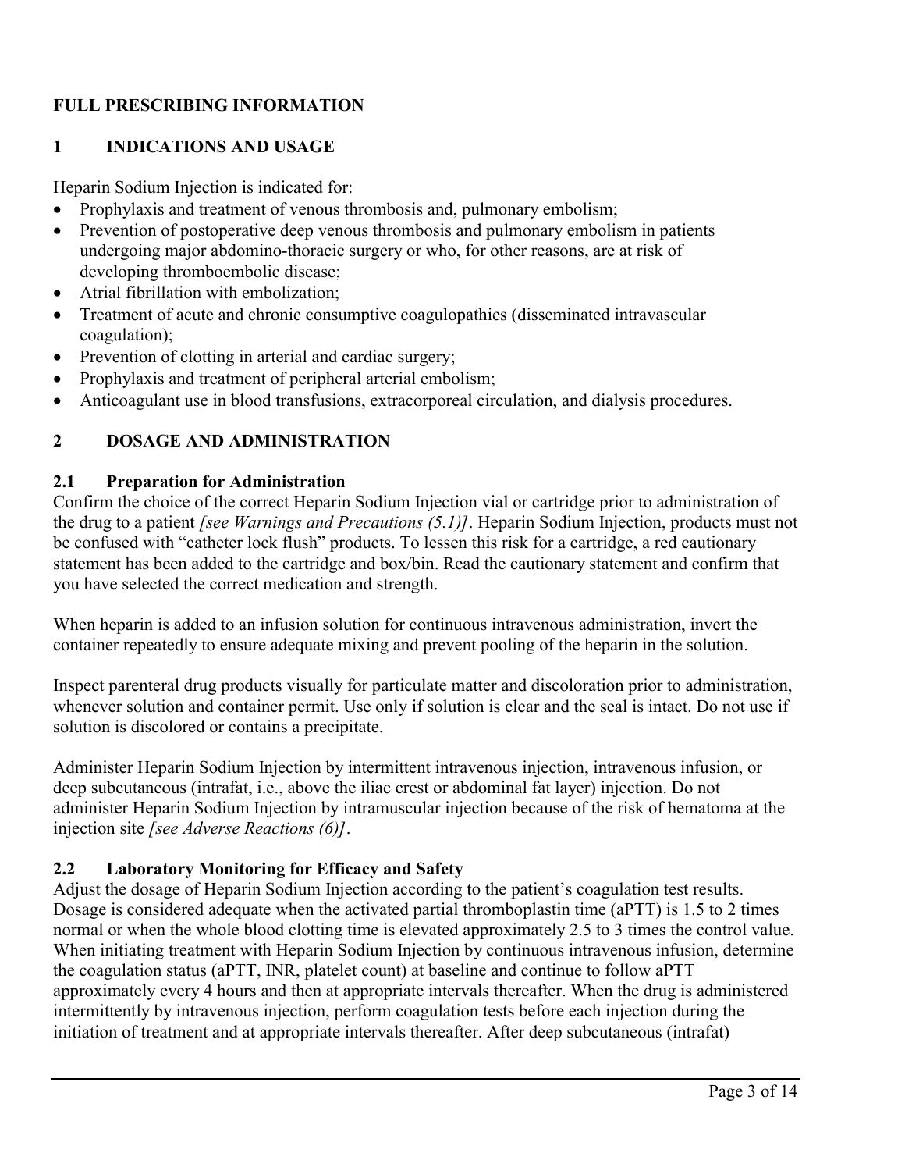# **FULL PRESCRIBING INFORMATION**

# **1 INDICATIONS AND USAGE**

Heparin Sodium Injection is indicated for:

- Prophylaxis and treatment of venous thrombosis and, pulmonary embolism;
- Prevention of postoperative deep venous thrombosis and pulmonary embolism in patients undergoing major abdomino-thoracic surgery or who, for other reasons, are at risk of developing thromboembolic disease;
- Atrial fibrillation with embolization;
- Treatment of acute and chronic consumptive coagulopathies (disseminated intravascular coagulation);
- Prevention of clotting in arterial and cardiac surgery;
- Prophylaxis and treatment of peripheral arterial embolism;
- Anticoagulant use in blood transfusions, extracorporeal circulation, and dialysis procedures.

# **2 DOSAGE AND ADMINISTRATION**

### **2.1 Preparation for Administration**

Confirm the choice of the correct Heparin Sodium Injection vial or cartridge prior to administration of the drug to a patient *[see Warnings and Precautions (5.1)]*. Heparin Sodium Injection, products must not be confused with "catheter lock flush" products. To lessen this risk for a cartridge, a red cautionary statement has been added to the cartridge and box/bin. Read the cautionary statement and confirm that you have selected the correct medication and strength.

When heparin is added to an infusion solution for continuous intravenous administration, invert the container repeatedly to ensure adequate mixing and prevent pooling of the heparin in the solution.

Inspect parenteral drug products visually for particulate matter and discoloration prior to administration, whenever solution and container permit. Use only if solution is clear and the seal is intact. Do not use if solution is discolored or contains a precipitate.

Administer Heparin Sodium Injection by intermittent intravenous injection, intravenous infusion, or deep subcutaneous (intrafat, i.e., above the iliac crest or abdominal fat layer) injection. Do not administer Heparin Sodium Injection by intramuscular injection because of the risk of hematoma at the injection site *[see Adverse Reactions (6)]*.

## **2.2 Laboratory Monitoring for Efficacy and Safety**

Adjust the dosage of Heparin Sodium Injection according to the patient's coagulation test results. Dosage is considered adequate when the activated partial thromboplastin time (aPTT) is 1.5 to 2 times normal or when the whole blood clotting time is elevated approximately 2.5 to 3 times the control value. When initiating treatment with Heparin Sodium Injection by continuous intravenous infusion, determine the coagulation status (aPTT, INR, platelet count) at baseline and continue to follow aPTT approximately every 4 hours and then at appropriate intervals thereafter. When the drug is administered intermittently by intravenous injection, perform coagulation tests before each injection during the initiation of treatment and at appropriate intervals thereafter. After deep subcutaneous (intrafat)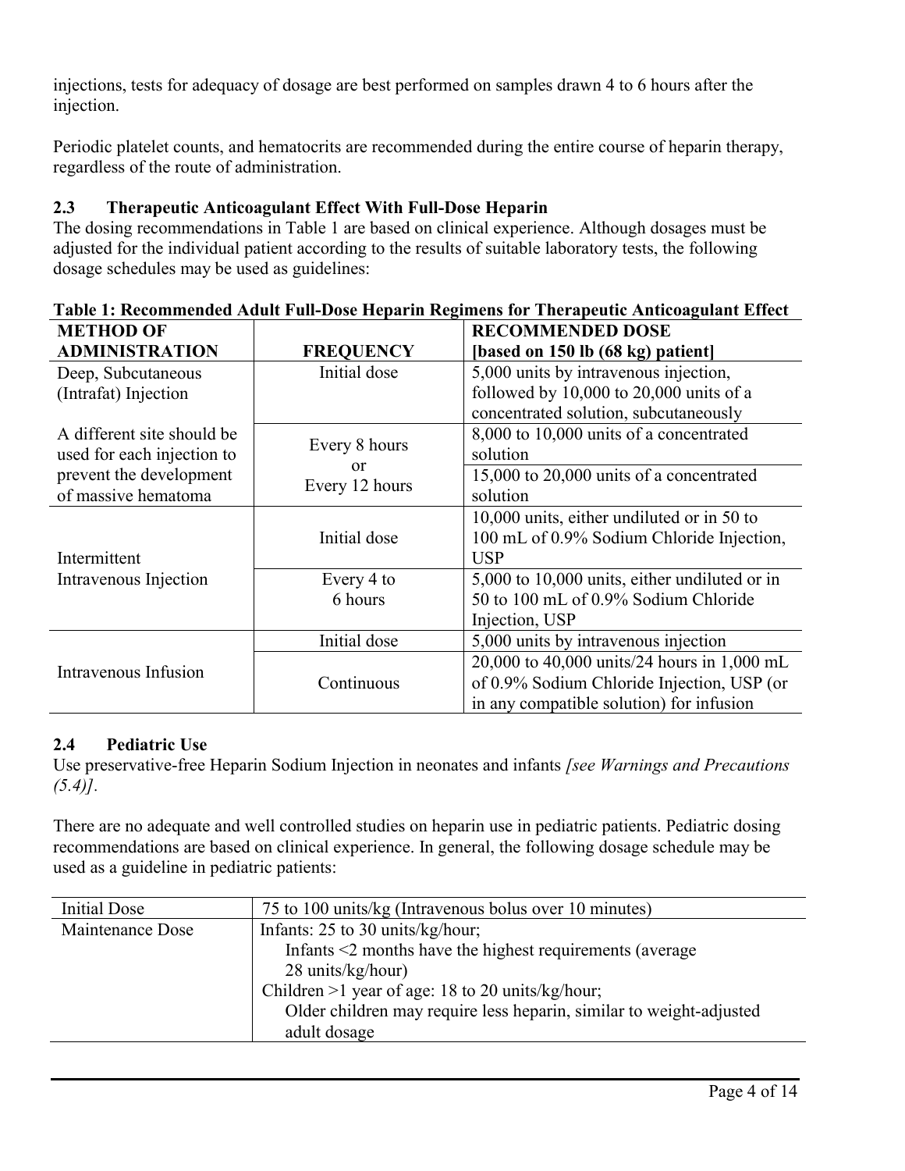injections, tests for adequacy of dosage are best performed on samples drawn 4 to 6 hours after the injection.

Periodic platelet counts, and hematocrits are recommended during the entire course of heparin therapy, regardless of the route of administration.

# **2.3 Therapeutic Anticoagulant Effect With Full-Dose Heparin**

The dosing recommendations in Table 1 are based on clinical experience. Although dosages must be adjusted for the individual patient according to the results of suitable laboratory tests, the following dosage schedules may be used as guidelines:

| <b>METHOD OF</b>           |                  | <b>RECOMMENDED DOSE</b>                       |
|----------------------------|------------------|-----------------------------------------------|
| <b>ADMINISTRATION</b>      | <b>FREQUENCY</b> | [based on 150 lb (68 kg) patient]             |
| Deep, Subcutaneous         | Initial dose     | 5,000 units by intravenous injection,         |
| (Intrafat) Injection       |                  | followed by $10,000$ to $20,000$ units of a   |
|                            |                  | concentrated solution, subcutaneously         |
| A different site should be |                  | 8,000 to 10,000 units of a concentrated       |
| used for each injection to | Every 8 hours    | solution                                      |
| prevent the development    | or               | 15,000 to 20,000 units of a concentrated      |
| of massive hematoma        | Every 12 hours   | solution                                      |
|                            |                  | 10,000 units, either undiluted or in 50 to    |
|                            | Initial dose     | 100 mL of 0.9% Sodium Chloride Injection,     |
| Intermittent               |                  | <b>USP</b>                                    |
| Intravenous Injection      | Every 4 to       | 5,000 to 10,000 units, either undiluted or in |
|                            | 6 hours          | 50 to 100 mL of 0.9% Sodium Chloride          |
|                            |                  | Injection, USP                                |
| Intravenous Infusion       | Initial dose     | 5,000 units by intravenous injection          |
|                            |                  | 20,000 to 40,000 units/24 hours in 1,000 mL   |
|                            | Continuous       | of 0.9% Sodium Chloride Injection, USP (or    |
|                            |                  | in any compatible solution) for infusion      |

# **Table 1: Recommended Adult Full-Dose Heparin Regimens for Therapeutic Anticoagulant Effect**

# **2.4 Pediatric Use**

Use preservative-free Heparin Sodium Injection in neonates and infants *[see Warnings and Precautions (5.4)].*

There are no adequate and well controlled studies on heparin use in pediatric patients. Pediatric dosing recommendations are based on clinical experience. In general, the following dosage schedule may be used as a guideline in pediatric patients:

| Initial Dose     | 75 to 100 units/kg (Intravenous bolus over 10 minutes)              |  |  |
|------------------|---------------------------------------------------------------------|--|--|
| Maintenance Dose | Infants: $25$ to $30$ units/kg/hour;                                |  |  |
|                  | Infants <2 months have the highest requirements (average            |  |  |
|                  | 28 units/kg/hour)                                                   |  |  |
|                  | Children >1 year of age: 18 to 20 units/kg/hour;                    |  |  |
|                  | Older children may require less heparin, similar to weight-adjusted |  |  |
|                  | adult dosage                                                        |  |  |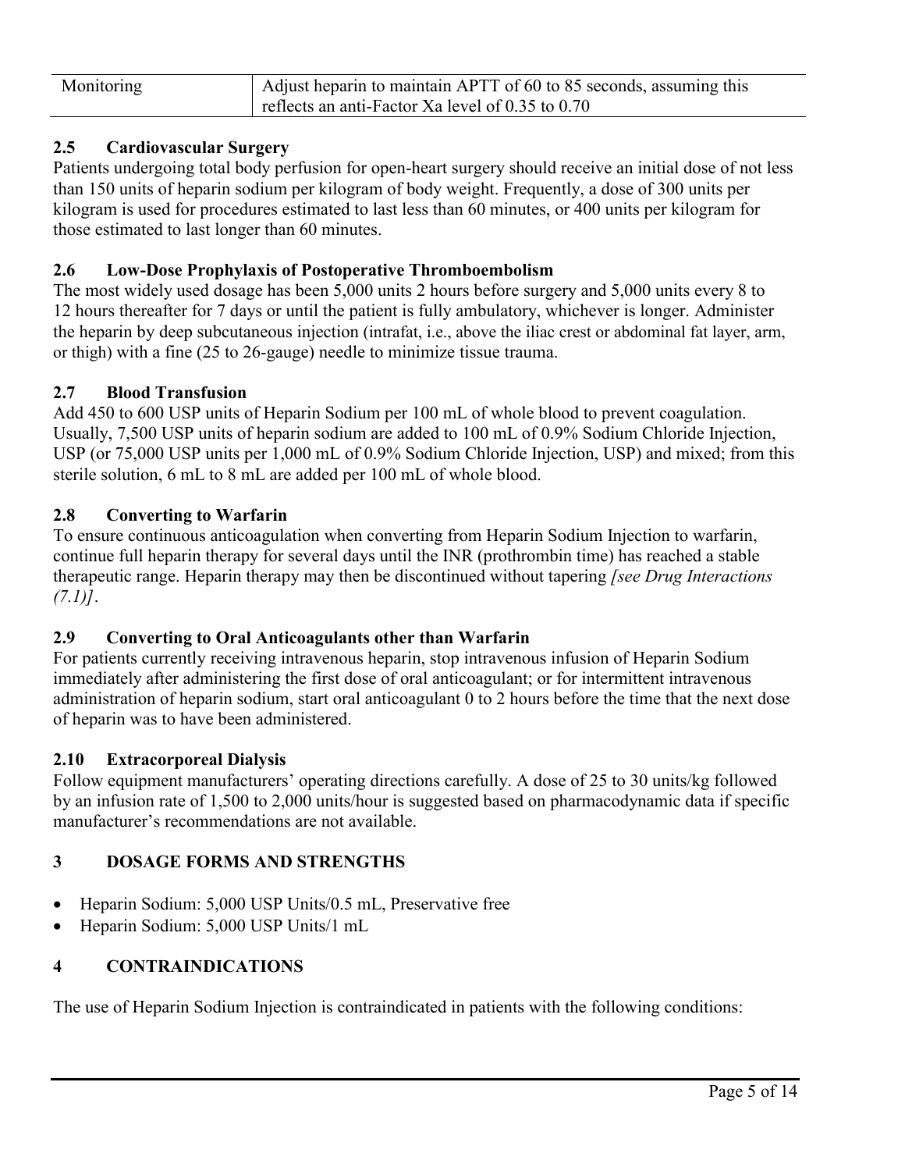| Monitoring | Adjust heparin to maintain APTT of 60 to 85 seconds, assuming this |
|------------|--------------------------------------------------------------------|
|            | reflects an anti-Factor Xa level of 0.35 to 0.70                   |

# **2.5 Cardiovascular Surgery**

Patients undergoing total body perfusion for open-heart surgery should receive an initial dose of not less than 150 units of heparin sodium per kilogram of body weight. Frequently, a dose of 300 units per kilogram is used for procedures estimated to last less than 60 minutes, or 400 units per kilogram for those estimated to last longer than 60 minutes.

# **2.6 Low-Dose Prophylaxis of Postoperative Thromboembolism**

The most widely used dosage has been 5,000 units 2 hours before surgery and 5,000 units every 8 to 12 hours thereafter for 7 days or until the patient is fully ambulatory, whichever is longer. Administer the heparin by deep subcutaneous injection (intrafat, i.e., above the iliac crest or abdominal fat layer, arm, or thigh) with a fine (25 to 26-gauge) needle to minimize tissue trauma.

# **2.7 Blood Transfusion**

Add 450 to 600 USP units of Heparin Sodium per 100 mL of whole blood to prevent coagulation. Usually, 7,500 USP units of heparin sodium are added to 100 mL of 0.9% Sodium Chloride Injection, USP (or 75,000 USP units per 1,000 mL of 0.9% Sodium Chloride Injection, USP) and mixed; from this sterile solution, 6 mL to 8 mL are added per 100 mL of whole blood.

# **2.8 Converting to Warfarin**

To ensure continuous anticoagulation when converting from Heparin Sodium Injection to warfarin, continue full heparin therapy for several days until the INR (prothrombin time) has reached a stable therapeutic range. Heparin therapy may then be discontinued without tapering *[see Drug Interactions (7.1)]*.

# **2.9 Converting to Oral Anticoagulants other than Warfarin**

For patients currently receiving intravenous heparin, stop intravenous infusion of Heparin Sodium immediately after administering the first dose of oral anticoagulant; or for intermittent intravenous administration of heparin sodium, start oral anticoagulant 0 to 2 hours before the time that the next dose of heparin was to have been administered.

## **2.10 Extracorporeal Dialysis**

Follow equipment manufacturers' operating directions carefully. A dose of 25 to 30 units/kg followed by an infusion rate of 1,500 to 2,000 units/hour is suggested based on pharmacodynamic data if specific manufacturer's recommendations are not available.

# **3 DOSAGE FORMS AND STRENGTHS**

- Heparin Sodium: 5,000 USP Units/0.5 mL, Preservative free
- Heparin Sodium: 5,000 USP Units/1 mL

# **4 CONTRAINDICATIONS**

The use of Heparin Sodium Injection is contraindicated in patients with the following conditions: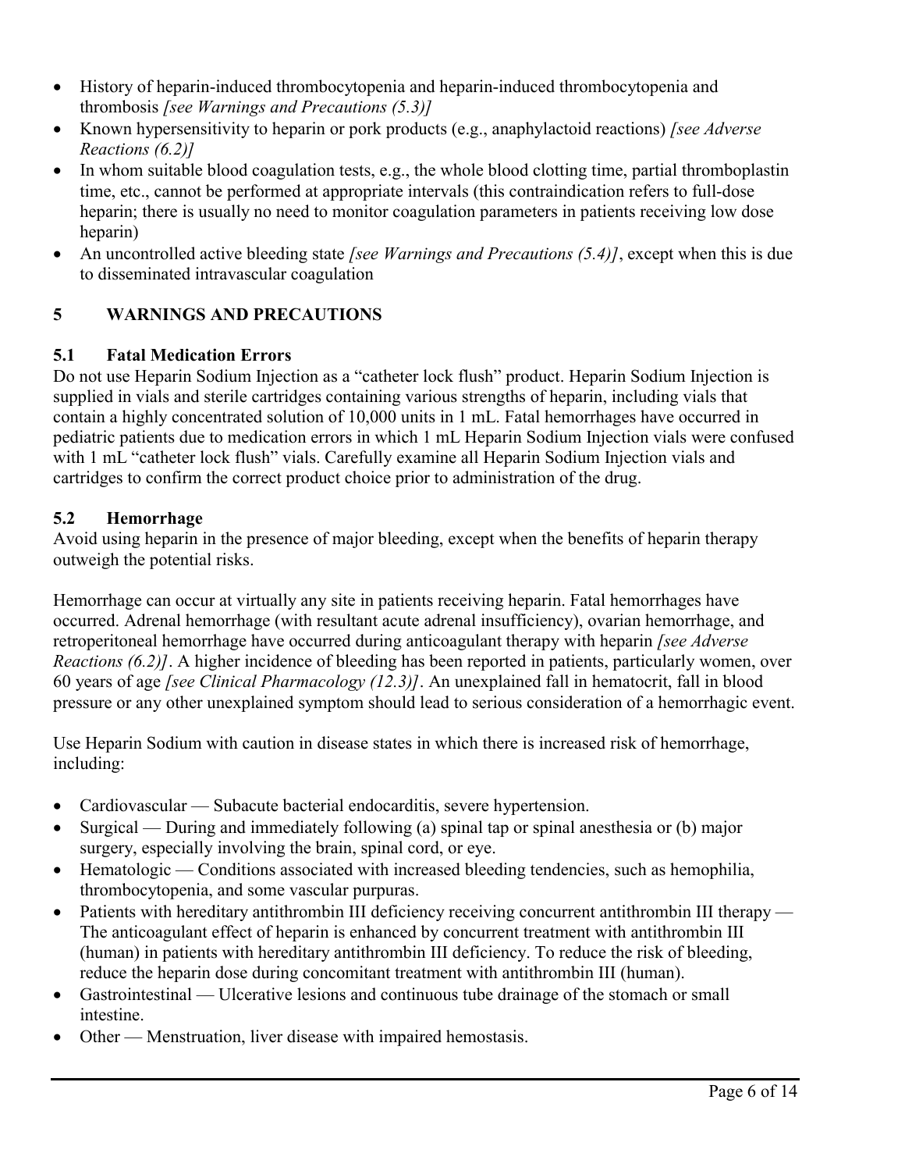- History of heparin-induced thrombocytopenia and heparin-induced thrombocytopenia and thrombosis *[see Warnings and Precautions (5.3)]*
- Known hypersensitivity to heparin or pork products (e.g., anaphylactoid reactions) *[see Adverse Reactions (6.2)]*
- $\bullet$  In whom suitable blood coagulation tests, e.g., the whole blood clotting time, partial thromboplastin time, etc., cannot be performed at appropriate intervals (this contraindication refers to full-dose heparin; there is usually no need to monitor coagulation parameters in patients receiving low dose heparin)
- An uncontrolled active bleeding state *[see Warnings and Precautions (5.4)]*, except when this is due to disseminated intravascular coagulation

# **5 WARNINGS AND PRECAUTIONS**

# **5.1 Fatal Medication Errors**

Do not use Heparin Sodium Injection as a "catheter lock flush" product. Heparin Sodium Injection is supplied in vials and sterile cartridges containing various strengths of heparin, including vials that contain a highly concentrated solution of 10,000 units in 1 mL. Fatal hemorrhages have occurred in pediatric patients due to medication errors in which 1 mL Heparin Sodium Injection vials were confused with 1 mL "catheter lock flush" vials. Carefully examine all Heparin Sodium Injection vials and cartridges to confirm the correct product choice prior to administration of the drug.

# **5.2 Hemorrhage**

Avoid using heparin in the presence of major bleeding, except when the benefits of heparin therapy outweigh the potential risks.

Hemorrhage can occur at virtually any site in patients receiving heparin. Fatal hemorrhages have occurred. Adrenal hemorrhage (with resultant acute adrenal insufficiency), ovarian hemorrhage, and retroperitoneal hemorrhage have occurred during anticoagulant therapy with heparin *[see Adverse Reactions (6.2)]*. A higher incidence of bleeding has been reported in patients, particularly women, over 60 years of age *[see Clinical Pharmacology (12.3)]*. An unexplained fall in hematocrit, fall in blood pressure or any other unexplained symptom should lead to serious consideration of a hemorrhagic event.

Use Heparin Sodium with caution in disease states in which there is increased risk of hemorrhage, including:

- Cardiovascular Subacute bacterial endocarditis, severe hypertension.
- Surgical During and immediately following (a) spinal tap or spinal anesthesia or (b) major surgery, especially involving the brain, spinal cord, or eye.
- Hematologic Conditions associated with increased bleeding tendencies, such as hemophilia, thrombocytopenia, and some vascular purpuras.
- Patients with hereditary antithrombin III deficiency receiving concurrent antithrombin III therapy The anticoagulant effect of heparin is enhanced by concurrent treatment with antithrombin III (human) in patients with hereditary antithrombin III deficiency. To reduce the risk of bleeding, reduce the heparin dose during concomitant treatment with antithrombin III (human).
- Gastrointestinal Ulcerative lesions and continuous tube drainage of the stomach or small intestine.
- Other Menstruation, liver disease with impaired hemostasis.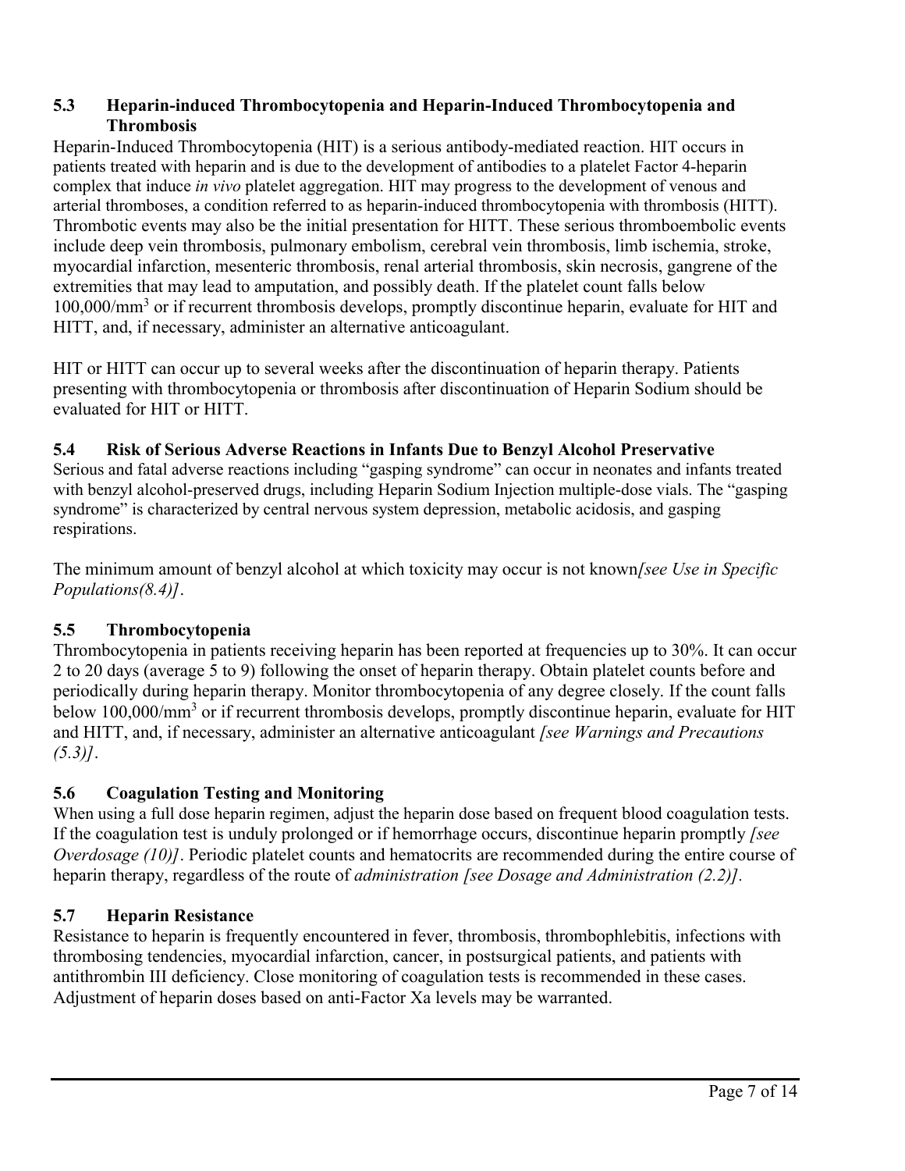# **5.3 Heparin-induced Thrombocytopenia and Heparin-Induced Thrombocytopenia and Thrombosis**

Heparin-Induced Thrombocytopenia (HIT) is a serious antibody-mediated reaction. HIT occurs in patients treated with heparin and is due to the development of antibodies to a platelet Factor 4-heparin complex that induce *in vivo* platelet aggregation. HIT may progress to the development of venous and arterial thromboses, a condition referred to as heparin-induced thrombocytopenia with thrombosis (HITT). Thrombotic events may also be the initial presentation for HITT. These serious thromboembolic events include deep vein thrombosis, pulmonary embolism, cerebral vein thrombosis, limb ischemia, stroke, myocardial infarction, mesenteric thrombosis, renal arterial thrombosis, skin necrosis, gangrene of the extremities that may lead to amputation, and possibly death. If the platelet count falls below 100,000/mm<sup>3</sup> or if recurrent thrombosis develops, promptly discontinue heparin, evaluate for HIT and HITT, and, if necessary, administer an alternative anticoagulant.

HIT or HITT can occur up to several weeks after the discontinuation of heparin therapy. Patients presenting with thrombocytopenia or thrombosis after discontinuation of Heparin Sodium should be evaluated for HIT or HITT.

# **5.4 Risk of Serious Adverse Reactions in Infants Due to Benzyl Alcohol Preservative**

Serious and fatal adverse reactions including "gasping syndrome" can occur in neonates and infants treated with benzyl alcohol-preserved drugs, including Heparin Sodium Injection multiple-dose vials. The "gasping syndrome" is characterized by central nervous system depression, metabolic acidosis, and gasping respirations.

The minimum amount of benzyl alcohol at which toxicity may occur is not known*[see Use in Specific Populations(8.4)]*.

# **5.5 Thrombocytopenia**

Thrombocytopenia in patients receiving heparin has been reported at frequencies up to 30%. It can occur 2 to 20 days (average 5 to 9) following the onset of heparin therapy. Obtain platelet counts before and periodically during heparin therapy. Monitor thrombocytopenia of any degree closely. If the count falls below 100,000/mm<sup>3</sup> or if recurrent thrombosis develops, promptly discontinue heparin, evaluate for HIT and HITT, and, if necessary, administer an alternative anticoagulant *[see Warnings and Precautions (5.3)]*.

# **5.6 Coagulation Testing and Monitoring**

When using a full dose heparin regimen, adjust the heparin dose based on frequent blood coagulation tests. If the coagulation test is unduly prolonged or if hemorrhage occurs, discontinue heparin promptly *[see Overdosage (10)]*. Periodic platelet counts and hematocrits are recommended during the entire course of heparin therapy, regardless of the route of *administration [see Dosage and Administration (2.2)].*

## **5.7 Heparin Resistance**

Resistance to heparin is frequently encountered in fever, thrombosis, thrombophlebitis, infections with thrombosing tendencies, myocardial infarction, cancer, in postsurgical patients, and patients with antithrombin III deficiency. Close monitoring of coagulation tests is recommended in these cases. Adjustment of heparin doses based on anti-Factor Xa levels may be warranted.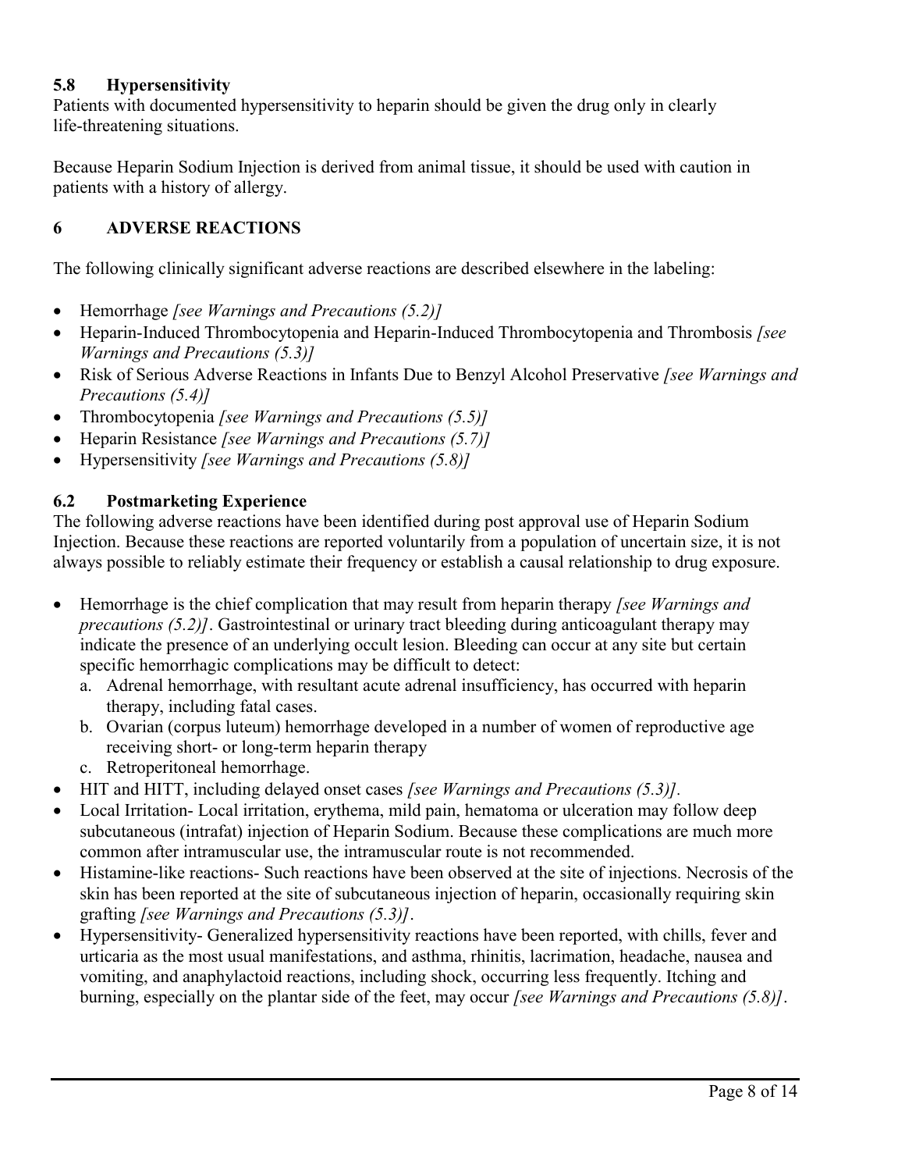# **5.8 Hypersensitivity**

Patients with documented hypersensitivity to heparin should be given the drug only in clearly life-threatening situations.

Because Heparin Sodium Injection is derived from animal tissue, it should be used with caution in patients with a history of allergy.

## **6 ADVERSE REACTIONS**

The following clinically significant adverse reactions are described elsewhere in the labeling:

- Hemorrhage *[see Warnings and Precautions (5.2)]*
- Heparin-Induced Thrombocytopenia and Heparin-Induced Thrombocytopenia and Thrombosis *[see Warnings and Precautions (5.3)]*
- Risk of Serious Adverse Reactions in Infants Due to Benzyl Alcohol Preservative *[see Warnings and Precautions (5.4)]*
- Thrombocytopenia *[see Warnings and Precautions (5.5)]*
- Heparin Resistance *[see Warnings and Precautions (5.7)]*
- Hypersensitivity *[see Warnings and Precautions (5.8)]*

## **6.2 Postmarketing Experience**

The following adverse reactions have been identified during post approval use of Heparin Sodium Injection. Because these reactions are reported voluntarily from a population of uncertain size, it is not always possible to reliably estimate their frequency or establish a causal relationship to drug exposure.

- Hemorrhage is the chief complication that may result from heparin therapy *[see Warnings and precautions (5.2)]*. Gastrointestinal or urinary tract bleeding during anticoagulant therapy may indicate the presence of an underlying occult lesion. Bleeding can occur at any site but certain specific hemorrhagic complications may be difficult to detect:
	- a. Adrenal hemorrhage, with resultant acute adrenal insufficiency, has occurred with heparin therapy, including fatal cases.
	- b. Ovarian (corpus luteum) hemorrhage developed in a number of women of reproductive age receiving short- or long-term heparin therapy
	- c. Retroperitoneal hemorrhage.
- HIT and HITT, including delayed onset cases *[see Warnings and Precautions (5.3)].*
- Local Irritation-Local irritation, erythema, mild pain, hematoma or ulceration may follow deep subcutaneous (intrafat) injection of Heparin Sodium. Because these complications are much more common after intramuscular use, the intramuscular route is not recommended.
- Histamine-like reactions- Such reactions have been observed at the site of injections. Necrosis of the skin has been reported at the site of subcutaneous injection of heparin, occasionally requiring skin grafting *[see Warnings and Precautions (5.3)]*.
- Hypersensitivity- Generalized hypersensitivity reactions have been reported, with chills, fever and urticaria as the most usual manifestations, and asthma, rhinitis, lacrimation, headache, nausea and vomiting, and anaphylactoid reactions, including shock, occurring less frequently. Itching and burning, especially on the plantar side of the feet, may occur *[see Warnings and Precautions (5.8)]*.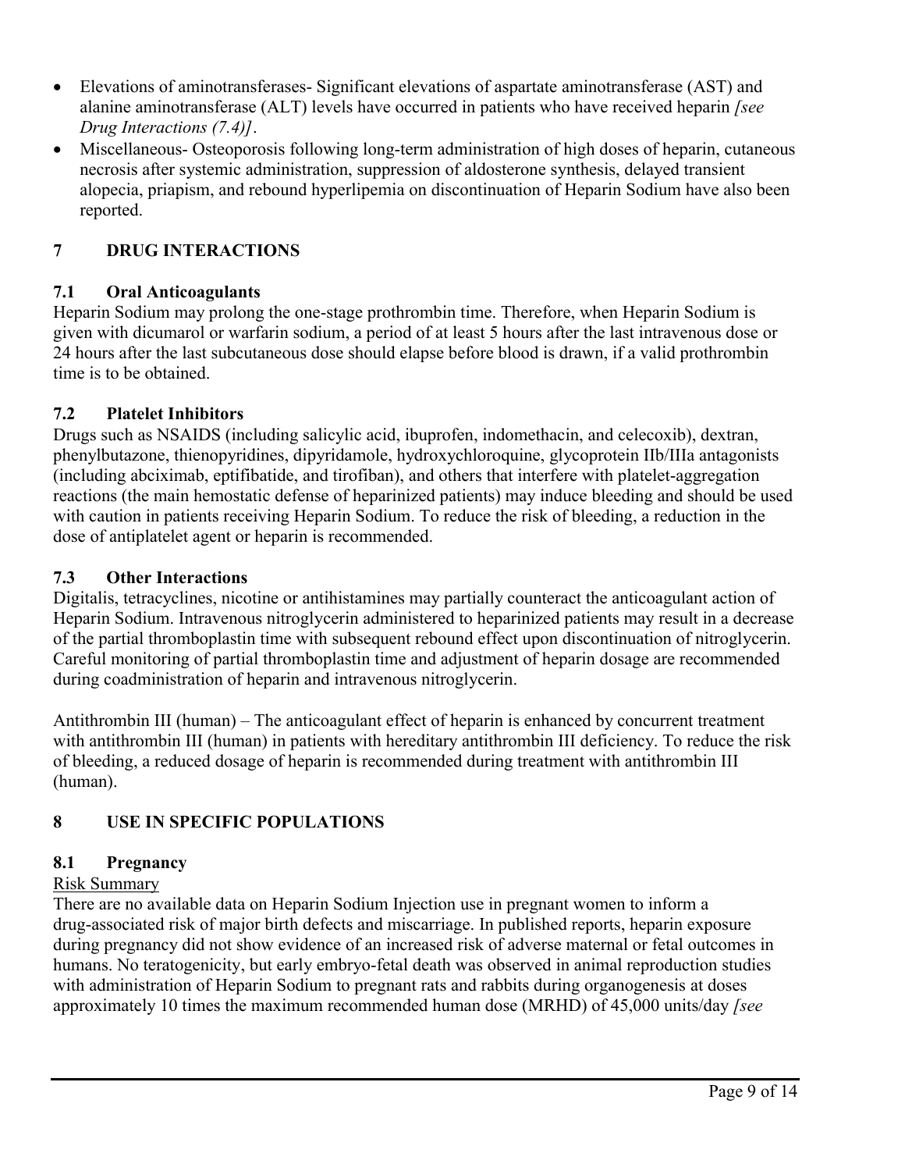- Elevations of aminotransferases- Significant elevations of aspartate aminotransferase (AST) and alanine aminotransferase (ALT) levels have occurred in patients who have received heparin *[see Drug Interactions (7.4)]*.
- Miscellaneous- Osteoporosis following long-term administration of high doses of heparin, cutaneous necrosis after systemic administration, suppression of aldosterone synthesis, delayed transient alopecia, priapism, and rebound hyperlipemia on discontinuation of Heparin Sodium have also been reported.

# **7 DRUG INTERACTIONS**

# **7.1 Oral Anticoagulants**

Heparin Sodium may prolong the one-stage prothrombin time. Therefore, when Heparin Sodium is given with dicumarol or warfarin sodium, a period of at least 5 hours after the last intravenous dose or 24 hours after the last subcutaneous dose should elapse before blood is drawn, if a valid prothrombin time is to be obtained.

# **7.2 Platelet Inhibitors**

Drugs such as NSAIDS (including salicylic acid, ibuprofen, indomethacin, and celecoxib), dextran, phenylbutazone, thienopyridines, dipyridamole, hydroxychloroquine, glycoprotein IIb/IIIa antagonists (including abciximab, eptifibatide, and tirofiban), and others that interfere with platelet-aggregation reactions (the main hemostatic defense of heparinized patients) may induce bleeding and should be used with caution in patients receiving Heparin Sodium. To reduce the risk of bleeding, a reduction in the dose of antiplatelet agent or heparin is recommended.

# **7.3 Other Interactions**

Digitalis, tetracyclines, nicotine or antihistamines may partially counteract the anticoagulant action of Heparin Sodium. Intravenous nitroglycerin administered to heparinized patients may result in a decrease of the partial thromboplastin time with subsequent rebound effect upon discontinuation of nitroglycerin. Careful monitoring of partial thromboplastin time and adjustment of heparin dosage are recommended during coadministration of heparin and intravenous nitroglycerin.

Antithrombin III (human) – The anticoagulant effect of heparin is enhanced by concurrent treatment with antithrombin III (human) in patients with hereditary antithrombin III deficiency. To reduce the risk of bleeding, a reduced dosage of heparin is recommended during treatment with antithrombin III (human).

# **8 USE IN SPECIFIC POPULATIONS**

## **8.1 Pregnancy**

## Risk Summary

There are no available data on Heparin Sodium Injection use in pregnant women to inform a drug-associated risk of major birth defects and miscarriage. In published reports, heparin exposure during pregnancy did not show evidence of an increased risk of adverse maternal or fetal outcomes in humans. No teratogenicity, but early embryo-fetal death was observed in animal reproduction studies with administration of Heparin Sodium to pregnant rats and rabbits during organogenesis at doses approximately 10 times the maximum recommended human dose (MRHD) of 45,000 units/day *[see*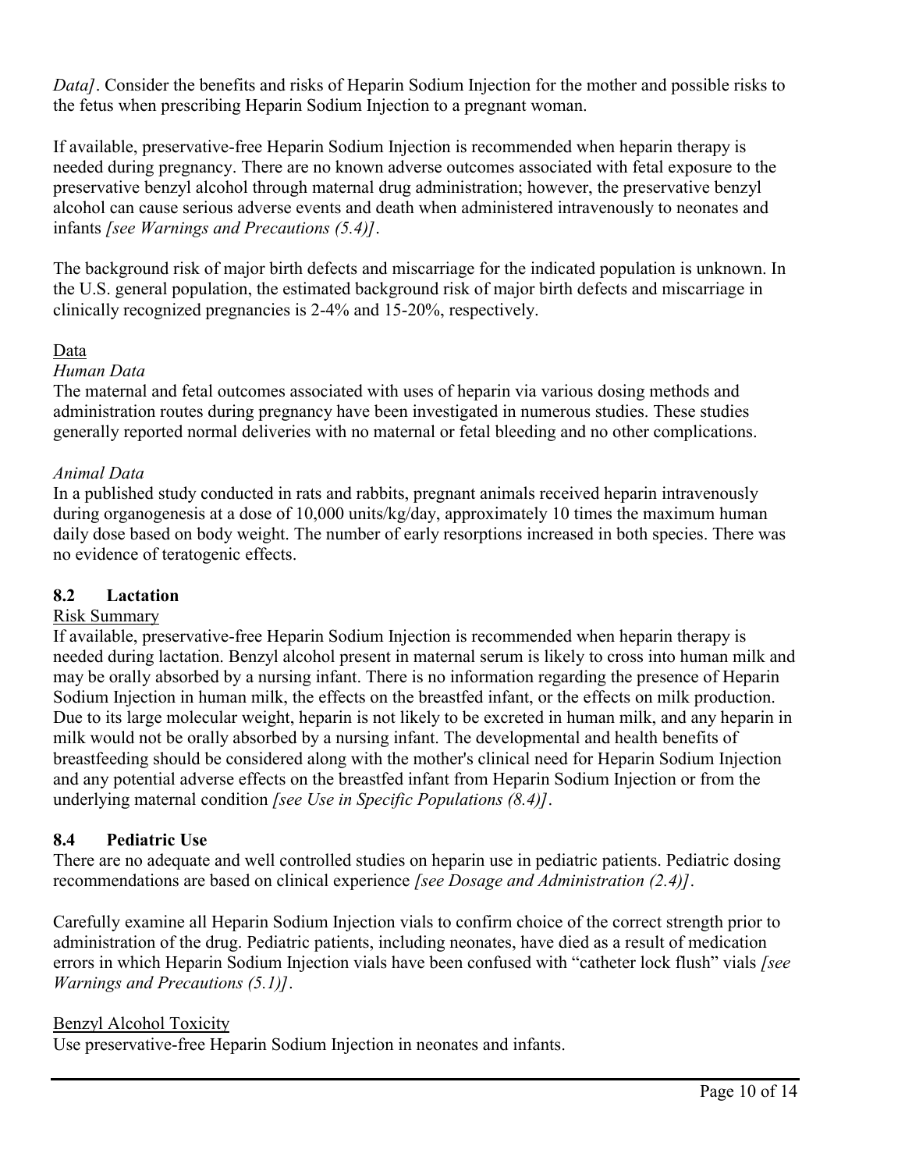*Data]*. Consider the benefits and risks of Heparin Sodium Injection for the mother and possible risks to the fetus when prescribing Heparin Sodium Injection to a pregnant woman.

If available, preservative-free Heparin Sodium Injection is recommended when heparin therapy is needed during pregnancy. There are no known adverse outcomes associated with fetal exposure to the preservative benzyl alcohol through maternal drug administration; however, the preservative benzyl alcohol can cause serious adverse events and death when administered intravenously to neonates and infants *[see Warnings and Precautions (5.4)]*.

The background risk of major birth defects and miscarriage for the indicated population is unknown. In the U.S. general population, the estimated background risk of major birth defects and miscarriage in clinically recognized pregnancies is 2-4% and 15-20%, respectively.

### Data

## *Human Data*

The maternal and fetal outcomes associated with uses of heparin via various dosing methods and administration routes during pregnancy have been investigated in numerous studies. These studies generally reported normal deliveries with no maternal or fetal bleeding and no other complications.

## *Animal Data*

In a published study conducted in rats and rabbits, pregnant animals received heparin intravenously during organogenesis at a dose of 10,000 units/kg/day, approximately 10 times the maximum human daily dose based on body weight. The number of early resorptions increased in both species. There was no evidence of teratogenic effects.

### **8.2 Lactation**

### Risk Summary

If available, preservative-free Heparin Sodium Injection is recommended when heparin therapy is needed during lactation. Benzyl alcohol present in maternal serum is likely to cross into human milk and may be orally absorbed by a nursing infant. There is no information regarding the presence of Heparin Sodium Injection in human milk, the effects on the breastfed infant, or the effects on milk production. Due to its large molecular weight, heparin is not likely to be excreted in human milk, and any heparin in milk would not be orally absorbed by a nursing infant. The developmental and health benefits of breastfeeding should be considered along with the mother's clinical need for Heparin Sodium Injection and any potential adverse effects on the breastfed infant from Heparin Sodium Injection or from the underlying maternal condition *[see Use in Specific Populations (8.4)]*.

## **8.4 Pediatric Use**

There are no adequate and well controlled studies on heparin use in pediatric patients. Pediatric dosing recommendations are based on clinical experience *[see Dosage and Administration (2.4)]*.

Carefully examine all Heparin Sodium Injection vials to confirm choice of the correct strength prior to administration of the drug. Pediatric patients, including neonates, have died as a result of medication errors in which Heparin Sodium Injection vials have been confused with "catheter lock flush" vials *[see Warnings and Precautions (5.1)]*.

### Benzyl Alcohol Toxicity

Use preservative-free Heparin Sodium Injection in neonates and infants.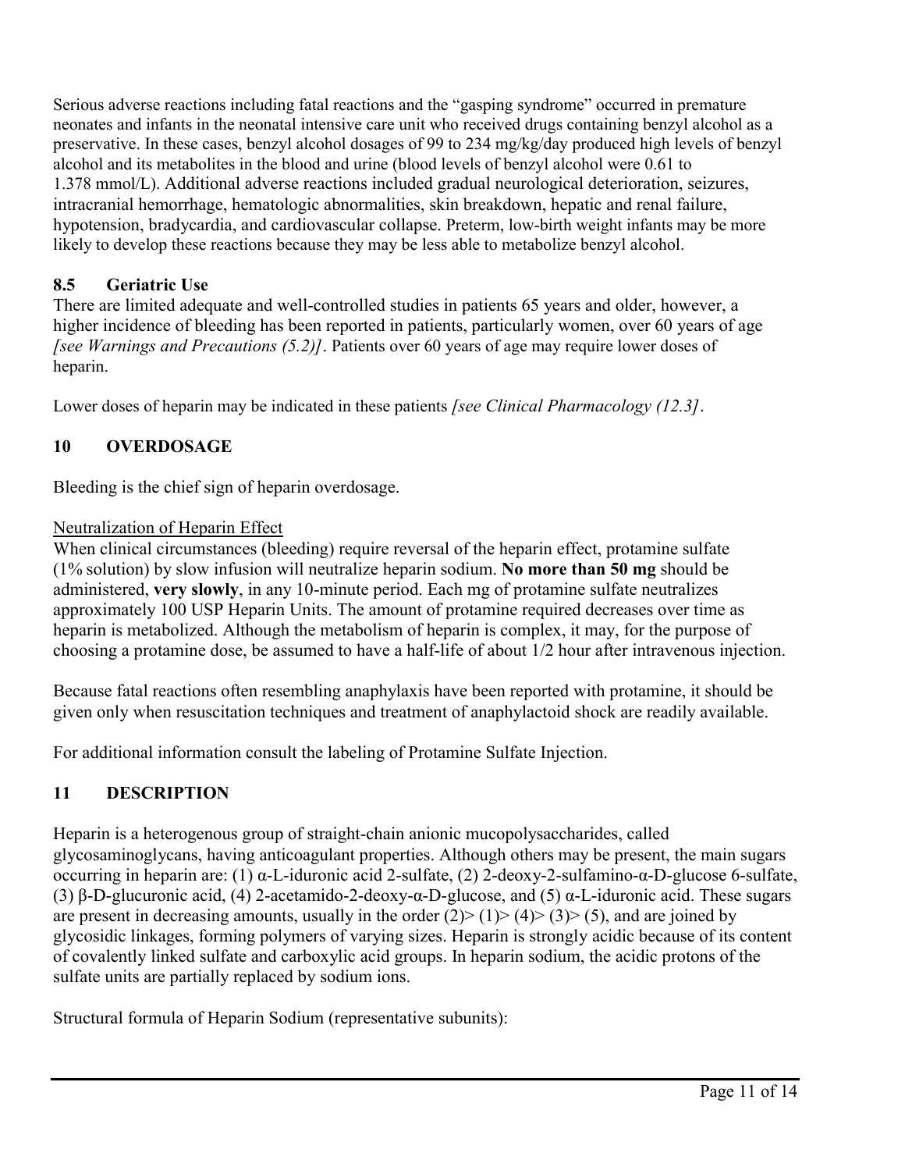Serious adverse reactions including fatal reactions and the "gasping syndrome" occurred in premature neonates and infants in the neonatal intensive care unit who received drugs containing benzyl alcohol as a preservative. In these cases, benzyl alcohol dosages of 99 to 234 mg/kg/day produced high levels of benzyl alcohol and its metabolites in the blood and urine (blood levels of benzyl alcohol were 0.61 to 1.378 mmol/L). Additional adverse reactions included gradual neurological deterioration, seizures, intracranial hemorrhage, hematologic abnormalities, skin breakdown, hepatic and renal failure, hypotension, bradycardia, and cardiovascular collapse. Preterm, low-birth weight infants may be more likely to develop these reactions because they may be less able to metabolize benzyl alcohol.

# **8.5 Geriatric Use**

There are limited adequate and well-controlled studies in patients 65 years and older, however, a higher incidence of bleeding has been reported in patients, particularly women, over 60 years of age *[see Warnings and Precautions (5.2)]*. Patients over 60 years of age may require lower doses of heparin.

Lower doses of heparin may be indicated in these patients *[see Clinical Pharmacology (12.3]*.

# **10 OVERDOSAGE**

Bleeding is the chief sign of heparin overdosage.

# Neutralization of Heparin Effect

When clinical circumstances (bleeding) require reversal of the heparin effect, protamine sulfate (1% solution) by slow infusion will neutralize heparin sodium. **No more than 50 mg** should be administered, **very slowly**, in any 10-minute period. Each mg of protamine sulfate neutralizes approximately 100 USP Heparin Units. The amount of protamine required decreases over time as heparin is metabolized. Although the metabolism of heparin is complex, it may, for the purpose of choosing a protamine dose, be assumed to have a half-life of about 1/2 hour after intravenous injection.

Because fatal reactions often resembling anaphylaxis have been reported with protamine, it should be given only when resuscitation techniques and treatment of anaphylactoid shock are readily available.

For additional information consult the labeling of Protamine Sulfate Injection.

# **11 DESCRIPTION**

Heparin is a heterogenous group of straight-chain anionic mucopolysaccharides, called glycosaminoglycans, having anticoagulant properties. Although others may be present, the main sugars occurring in heparin are: (1) α-L-iduronic acid 2-sulfate, (2) 2-deoxy-2-sulfamino-α-D-glucose 6-sulfate, (3) β-D-glucuronic acid, (4) 2-acetamido-2-deoxy-α-D-glucose, and (5) α-L-iduronic acid. These sugars are present in decreasing amounts, usually in the order  $(2)$  >  $(1)$  >  $(4)$  >  $(3)$  >  $(5)$ , and are joined by glycosidic linkages, forming polymers of varying sizes. Heparin is strongly acidic because of its content of covalently linked sulfate and carboxylic acid groups. In heparin sodium, the acidic protons of the sulfate units are partially replaced by sodium ions.

Structural formula of Heparin Sodium (representative subunits):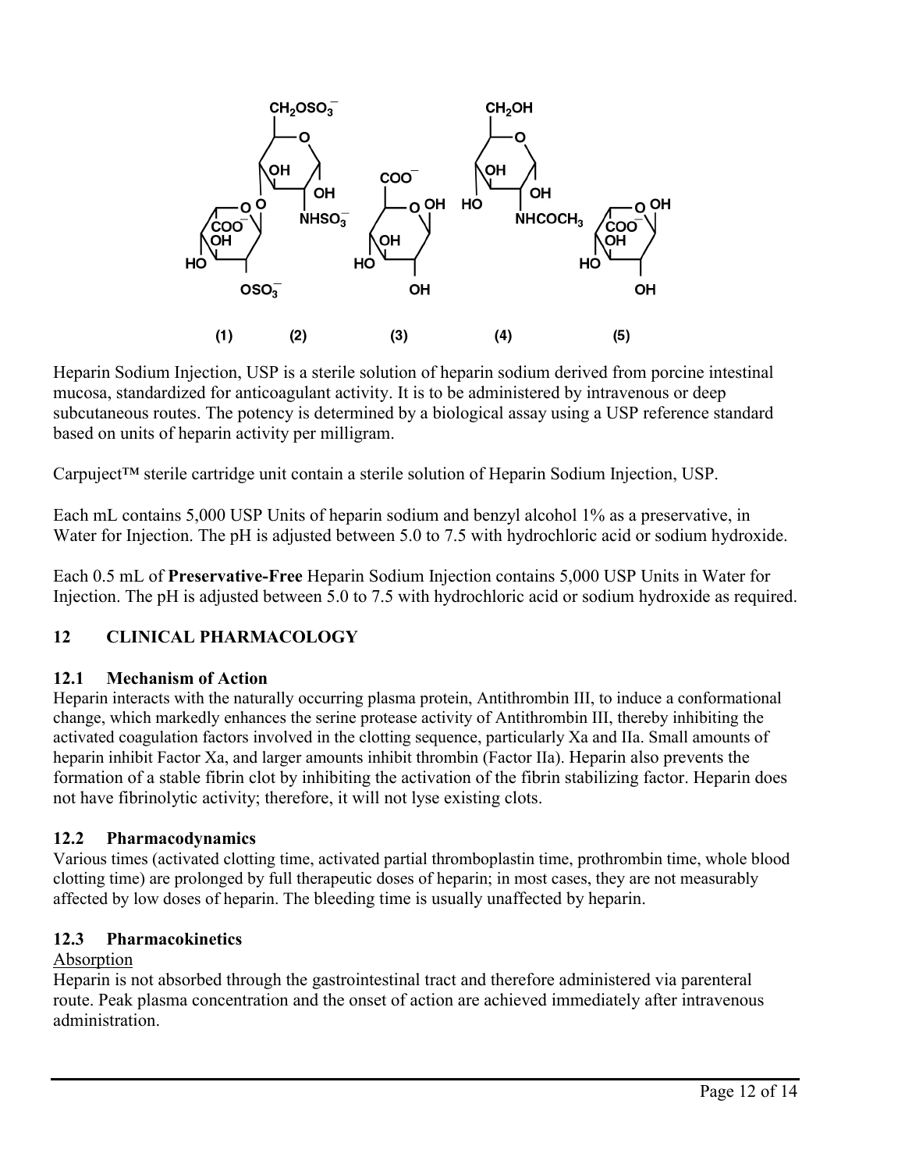

Heparin Sodium Injection, USP is a sterile solution of heparin sodium derived from porcine intestinal mucosa, standardized for anticoagulant activity. It is to be administered by intravenous or deep subcutaneous routes. The potency is determined by a biological assay using a USP reference standard based on units of heparin activity per milligram.

Carpuject™ sterile cartridge unit contain a sterile solution of Heparin Sodium Injection, USP.

Each mL contains 5,000 USP Units of heparin sodium and benzyl alcohol 1% as a preservative, in Water for Injection. The pH is adjusted between 5.0 to 7.5 with hydrochloric acid or sodium hydroxide.

Each 0.5 mL of **Preservative-Free** Heparin Sodium Injection contains 5,000 USP Units in Water for Injection. The pH is adjusted between 5.0 to 7.5 with hydrochloric acid or sodium hydroxide as required.

# **12 CLINICAL PHARMACOLOGY**

## **12.1 Mechanism of Action**

Heparin interacts with the naturally occurring plasma protein, Antithrombin III, to induce a conformational change, which markedly enhances the serine protease activity of Antithrombin III, thereby inhibiting the activated coagulation factors involved in the clotting sequence, particularly Xa and IIa. Small amounts of heparin inhibit Factor Xa, and larger amounts inhibit thrombin (Factor IIa). Heparin also prevents the formation of a stable fibrin clot by inhibiting the activation of the fibrin stabilizing factor. Heparin does not have fibrinolytic activity; therefore, it will not lyse existing clots.

# **12.2 Pharmacodynamics**

Various times (activated clotting time, activated partial thromboplastin time, prothrombin time, whole blood clotting time) are prolonged by full therapeutic doses of heparin; in most cases, they are not measurably affected by low doses of heparin. The bleeding time is usually unaffected by heparin.

## **12.3 Pharmacokinetics**

# Absorption

Heparin is not absorbed through the gastrointestinal tract and therefore administered via parenteral route. Peak plasma concentration and the onset of action are achieved immediately after intravenous administration.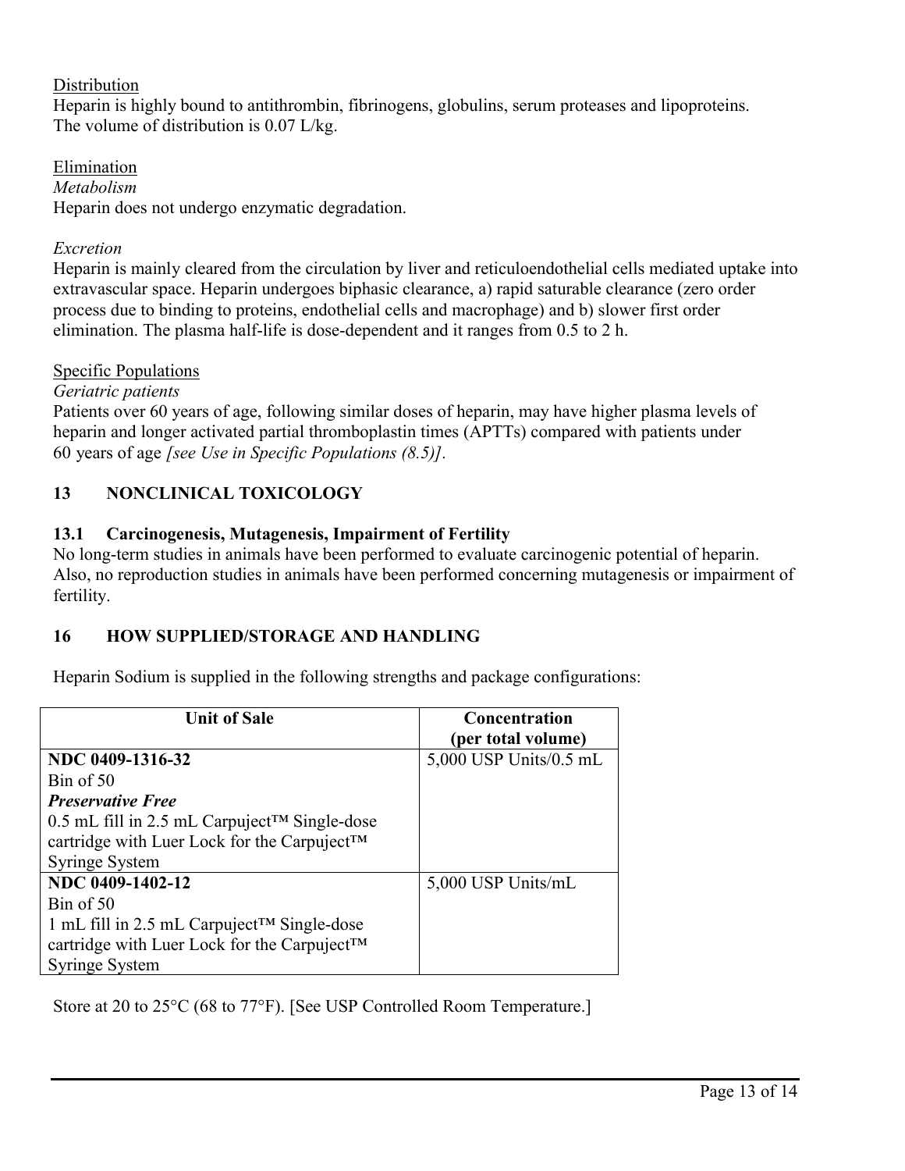## **Distribution**

Heparin is highly bound to antithrombin, fibrinogens, globulins, serum proteases and lipoproteins. The volume of distribution is 0.07 L/kg.

Elimination *Metabolism*  Heparin does not undergo enzymatic degradation.

## *Excretion*

Heparin is mainly cleared from the circulation by liver and reticuloendothelial cells mediated uptake into extravascular space. Heparin undergoes biphasic clearance, a) rapid saturable clearance (zero order process due to binding to proteins, endothelial cells and macrophage) and b) slower first order elimination. The plasma half-life is dose-dependent and it ranges from 0.5 to 2 h.

## Specific Populations

### *Geriatric patients*

Patients over 60 years of age, following similar doses of heparin, may have higher plasma levels of heparin and longer activated partial thromboplastin times (APTTs) compared with patients under 60 years of age *[see Use in Specific Populations (8.5)].*

# **13 NONCLINICAL TOXICOLOGY**

## **13.1 Carcinogenesis, Mutagenesis, Impairment of Fertility**

No long-term studies in animals have been performed to evaluate carcinogenic potential of heparin. Also, no reproduction studies in animals have been performed concerning mutagenesis or impairment of fertility.

## **16 HOW SUPPLIED/STORAGE AND HANDLING**

Heparin Sodium is supplied in the following strengths and package configurations:

| <b>Unit of Sale</b>                                         | <b>Concentration</b>     |
|-------------------------------------------------------------|--------------------------|
|                                                             | (per total volume)       |
| NDC 0409-1316-32                                            | $5,000$ USP Units/0.5 mL |
| $Bin$ of 50                                                 |                          |
| <b>Preservative Free</b>                                    |                          |
| $0.5$ mL fill in 2.5 mL Carpuject <sup>TM</sup> Single-dose |                          |
| cartridge with Luer Lock for the Carpuject™                 |                          |
| <b>Syringe System</b>                                       |                          |
| NDC 0409-1402-12                                            | 5,000 USP Units/mL       |
| $\operatorname{Bin}$ of 50                                  |                          |
| 1 mL fill in 2.5 mL Carpuject <sup>TM</sup> Single-dose     |                          |
| cartridge with Luer Lock for the Carpuject™                 |                          |
| <b>Syringe System</b>                                       |                          |

Store at 20 to 25°C (68 to 77°F). [See USP Controlled Room Temperature.]